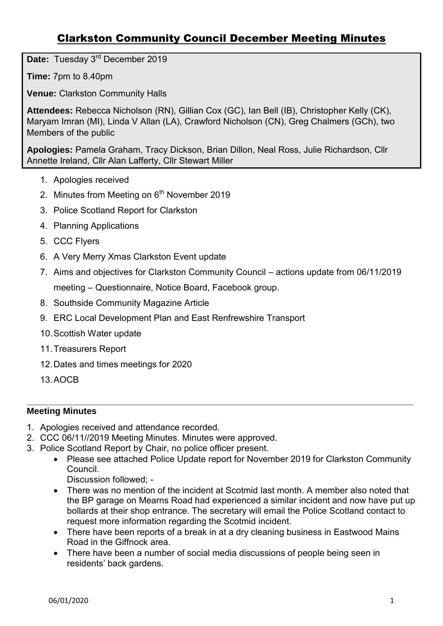# Clarkston Community Council December Meeting Minutes

**Date:** Tuesday 3rd December 2019

**Time:** 7pm to 8.40pm

**Venue:** Clarkston Community Halls

**Attendees:** Rebecca Nicholson (RN), Gillian Cox (GC), Ian Bell (IB), Christopher Kelly (CK), Maryam Imran (MI), Linda V Allan (LA), Crawford Nicholson (CN), Greg Chalmers (GCh), two Members of the public

**Apologies:** Pamela Graham, Tracy Dickson, Brian Dillon, Neal Ross, Julie Richardson, Cllr Annette Ireland, Cllr Alan Lafferty, Cllr Stewart Miller

- 1. Apologies received
- 2. Minutes from Meeting on  $6<sup>th</sup>$  November 2019
- 3. Police Scotland Report for Clarkston
- 4. Planning Applications
- 5. CCC Flyers
- 6. A Very Merry Xmas Clarkston Event update
- 7. Aims and objectives for Clarkston Community Council actions update from 06/11/2019 meeting – Questionnaire, Notice Board, Facebook group.
- 8. Southside Community Magazine Article
- 9. ERC Local Development Plan and East Renfrewshire Transport
- 10. Scottish Water update
- 11. Treasurers Report
- 12. Dates and times meetings for 2020
- 13. AOCB

#### **\_\_\_\_\_\_\_\_\_\_\_\_\_\_\_\_\_\_\_\_\_\_\_\_\_\_\_\_\_\_\_\_\_\_\_\_\_\_\_\_\_\_\_\_\_\_\_\_\_\_\_\_\_\_\_\_\_\_\_\_\_\_\_\_\_\_\_\_\_\_\_\_\_\_\_\_\_\_ Meeting Minutes**

- 1. Apologies received and attendance recorded.
- 2. CCC 06/11//2019 Meeting Minutes. Minutes were approved.
- 3. Police Scotland Report by Chair, no police officer present.
	- Please see attached Police Update report for November 2019 for Clarkston Community Council.

Discussion followed; -

- There was no mention of the incident at Scotmid last month. A member also noted that the BP garage on Mearns Road had experienced a similar incident and now have put up bollards at their shop entrance. The secretary will email the Police Scotland contact to request more information regarding the Scotmid incident.
- There have been reports of a break in at a dry cleaning business in Eastwood Mains Road in the Giffnock area.
- There have been a number of social media discussions of people being seen in residents' back gardens.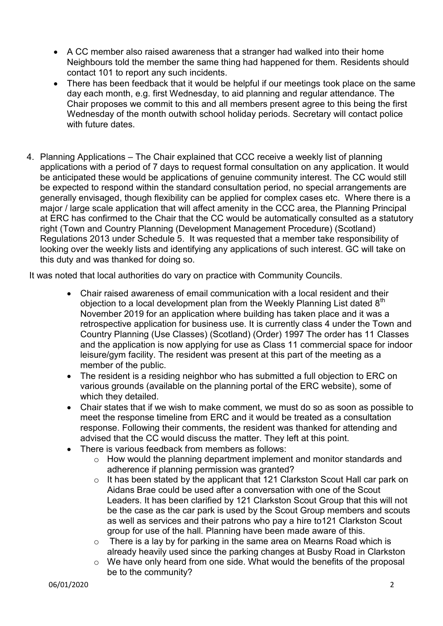- A CC member also raised awareness that a stranger had walked into their home Neighbours told the member the same thing had happened for them. Residents should contact 101 to report any such incidents.
- There has been feedback that it would be helpful if our meetings took place on the same day each month, e.g. first Wednesday, to aid planning and regular attendance. The Chair proposes we commit to this and all members present agree to this being the first Wednesday of the month outwith school holiday periods. Secretary will contact police with future dates.
- 4. Planning Applications The Chair explained that CCC receive a weekly list of planning applications with a period of 7 days to request formal consultation on any application. It would be anticipated these would be applications of genuine community interest. The CC would still be expected to respond within the standard consultation period, no special arrangements are generally envisaged, though flexibility can be applied for complex cases etc. Where there is a major / large scale application that will affect amenity in the CCC area, the Planning Principal at ERC has confirmed to the Chair that the CC would be automatically consulted as a statutory right (Town and Country Planning (Development Management Procedure) (Scotland) Regulations 2013 under Schedule 5. It was requested that a member take responsibility of looking over the weekly lists and identifying any applications of such interest. GC will take on this duty and was thanked for doing so.

It was noted that local authorities do vary on practice with Community Councils.

- Chair raised awareness of email communication with a local resident and their objection to a local development plan from the Weekly Planning List dated  $8<sup>th</sup>$ November 2019 for an application where building has taken place and it was a retrospective application for business use. It is currently class 4 under the Town and Country Planning (Use Classes) (Scotland) (Order) 1997 The order has 11 Classes and the application is now applying for use as Class 11 commercial space for indoor leisure/gym facility. The resident was present at this part of the meeting as a member of the public.
- The resident is a residing neighbor who has submitted a full objection to ERC on various grounds (available on the planning portal of the ERC website), some of which they detailed.
- Chair states that if we wish to make comment, we must do so as soon as possible to meet the response timeline from ERC and it would be treated as a consultation response. Following their comments, the resident was thanked for attending and advised that the CC would discuss the matter. They left at this point.
- There is various feedback from members as follows:
	- o How would the planning department implement and monitor standards and adherence if planning permission was granted?
	- o It has been stated by the applicant that 121 Clarkston Scout Hall car park on Aidans Brae could be used after a conversation with one of the Scout Leaders. It has been clarified by 121 Clarkston Scout Group that this will not be the case as the car park is used by the Scout Group members and scouts as well as services and their patrons who pay a hire to121 Clarkston Scout group for use of the hall. Planning have been made aware of this.
	- $\circ$  There is a lay by for parking in the same area on Mearns Road which is already heavily used since the parking changes at Busby Road in Clarkston
	- o We have only heard from one side. What would the benefits of the proposal be to the community?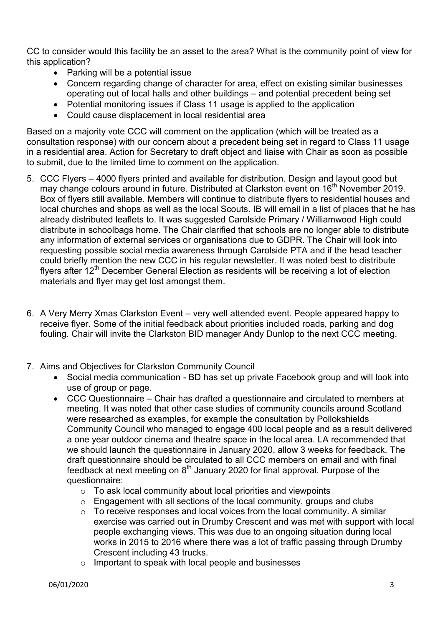CC to consider would this facility be an asset to the area? What is the community point of view for this application?

- Parking will be a potential issue
- Concern regarding change of character for area, effect on existing similar businesses operating out of local halls and other buildings – and potential precedent being set
- Potential monitoring issues if Class 11 usage is applied to the application
- Could cause displacement in local residential area

Based on a majority vote CCC will comment on the application (which will be treated as a consultation response) with our concern about a precedent being set in regard to Class 11 usage in a residential area. Action for Secretary to draft object and liaise with Chair as soon as possible to submit, due to the limited time to comment on the application.

- 5. CCC Flyers 4000 flyers printed and available for distribution. Design and layout good but may change colours around in future. Distributed at Clarkston event on 16<sup>th</sup> November 2019. Box of flyers still available. Members will continue to distribute flyers to residential houses and local churches and shops as well as the local Scouts. IB will email in a list of places that he has already distributed leaflets to. It was suggested Carolside Primary / Williamwood High could distribute in schoolbags home. The Chair clarified that schools are no longer able to distribute any information of external services or organisations due to GDPR. The Chair will look into requesting possible social media awareness through Carolside PTA and if the head teacher could briefly mention the new CCC in his regular newsletter. It was noted best to distribute flyers after  $12<sup>th</sup>$  December General Election as residents will be receiving a lot of election materials and flyer may get lost amongst them.
- 6. A Very Merry Xmas Clarkston Event very well attended event. People appeared happy to receive flyer. Some of the initial feedback about priorities included roads, parking and dog fouling. Chair will invite the Clarkston BID manager Andy Dunlop to the next CCC meeting.
- 7. Aims and Objectives for Clarkston Community Council
	- Social media communication BD has set up private Facebook group and will look into use of group or page.
	- CCC Questionnaire Chair has drafted a questionnaire and circulated to members at meeting. It was noted that other case studies of community councils around Scotland were researched as examples, for example the consultation by Pollokshields Community Council who managed to engage 400 local people and as a result delivered a one year outdoor cinema and theatre space in the local area. LA recommended that we should launch the questionnaire in January 2020, allow 3 weeks for feedback. The draft questionnaire should be circulated to all CCC members on email and with final feedback at next meeting on  $8<sup>th</sup>$  January 2020 for final approval. Purpose of the questionnaire:
		- o To ask local community about local priorities and viewpoints
		- o Engagement with all sections of the local community, groups and clubs
		- o To receive responses and local voices from the local community. A similar exercise was carried out in Drumby Crescent and was met with support with local people exchanging views. This was due to an ongoing situation during local works in 2015 to 2016 where there was a lot of traffic passing through Drumby Crescent including 43 trucks.
		- o Important to speak with local people and businesses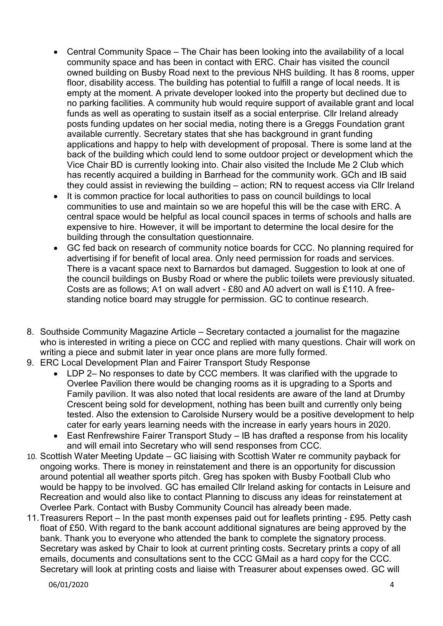- Central Community Space The Chair has been looking into the availability of a local community space and has been in contact with ERC. Chair has visited the council owned building on Busby Road next to the previous NHS building. It has 8 rooms, upper floor, disability access. The building has potential to fulfill a range of local needs. It is empty at the moment. A private developer looked into the property but declined due to no parking facilities. A community hub would require support of available grant and local funds as well as operating to sustain itself as a social enterprise. Cllr Ireland already posts funding updates on her social media, noting there is a Greggs Foundation grant available currently. Secretary states that she has background in grant funding applications and happy to help with development of proposal. There is some land at the back of the building which could lend to some outdoor project or development which the Vice Chair BD is currently looking into. Chair also visited the Include Me 2 Club which has recently acquired a building in Barrhead for the community work. GCh and IB said they could assist in reviewing the building – action; RN to request access via Cllr Ireland
- It is common practice for local authorities to pass on council buildings to local communities to use and maintain so we are hopeful this will be the case with ERC. A central space would be helpful as local council spaces in terms of schools and halls are expensive to hire. However, it will be important to determine the local desire for the building through the consultation questionnaire.
- GC fed back on research of community notice boards for CCC. No planning required for advertising if for benefit of local area. Only need permission for roads and services. There is a vacant space next to Barnardos but damaged. Suggestion to look at one of the council buildings on Busby Road or where the public toilets were previously situated. Costs are as follows; A1 on wall advert - £80 and A0 advert on wall is £110. A freestanding notice board may struggle for permission. GC to continue research.
- 8. Southside Community Magazine Article Secretary contacted a journalist for the magazine who is interested in writing a piece on CCC and replied with many questions. Chair will work on writing a piece and submit later in year once plans are more fully formed.
- 9. ERC Local Development Plan and Fairer Transport Study Response
	- LDP 2– No responses to date by CCC members. It was clarified with the upgrade to Overlee Pavilion there would be changing rooms as it is upgrading to a Sports and Family pavilion. It was also noted that local residents are aware of the land at Drumby Crescent being sold for development, nothing has been built and currently only being tested. Also the extension to Carolside Nursery would be a positive development to help cater for early years learning needs with the increase in early years hours in 2020.
	- East Renfrewshire Fairer Transport Study IB has drafted a response from his locality and will email into Secretary who will send responses from CCC.
- 10. Scottish Water Meeting Update GC liaising with Scottish Water re community payback for ongoing works. There is money in reinstatement and there is an opportunity for discussion around potential all weather sports pitch. Greg has spoken with Busby Football Club who would be happy to be involved. GC has emailed Cllr Ireland asking for contacts in Leisure and Recreation and would also like to contact Planning to discuss any ideas for reinstatement at Overlee Park. Contact with Busby Community Council has already been made.
- 11. Treasurers Report In the past month expenses paid out for leaflets printing £95. Petty cash float of £50. With regard to the bank account additional signatures are being approved by the bank. Thank you to everyone who attended the bank to complete the signatory process. Secretary was asked by Chair to look at current printing costs. Secretary prints a copy of all emails, documents and consultations sent to the CCC GMail as a hard copy for the CCC. Secretary will look at printing costs and liaise with Treasurer about expenses owed. GC will